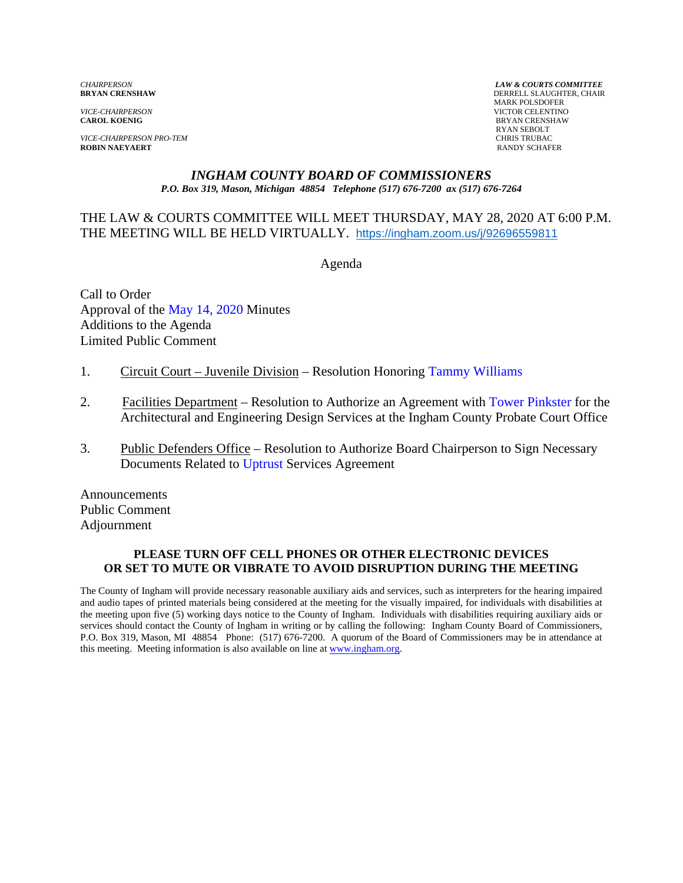*VICE-CHAIRPERSON* VICTOR CELENTINO

*VICE-CHAIRPERSON PRO-TEM* CHRIS TRUBAC **ROBIN NAEYAERT** 

*CHAIRPERSON LAW & COURTS COMMITTEE* **DERRELL SLAUGHTER, CHAIR**  MARK POLSDOFER **BRYAN CRENSHAW** RYAN SEBOLT

#### *INGHAM COUNTY BOARD OF COMMISSIONERS P.O. Box 319, Mason, Michigan 48854 Telephone (517) 676-7200 ax (517) 676-7264*

#### THE LAW & COURTS COMMITTEE WILL MEET THURSDAY, MAY 28, 2020 AT 6:00 P.M. THE MEETING WILL BE HELD VIRTUALLY. https://ingham.zoom.us/j/92696559811

Agenda

Call to Order Approval [of the May 14, 2020 Minutes](#page-1-0)  Additions to the Agenda Limited Public Comment

- 1. Circuit Court Juvenile Division Resolution Ho[noring Tammy Williams](#page-4-0)
- 2. Facilities Department Resolution to Authorize an Agreement [with Tower Pinkster for the](#page-6-0) Architectural and Engineering Design Services at the Ingham County Probate Court Office
- 3. Public Defenders Office Resolution to Authorize Board Chairperson to Sign Necessary Documents Relat[ed to Uptrust Services Ag](#page-8-0)reement

Announcements Public Comment Adjournment

#### **PLEASE TURN OFF CELL PHONES OR OTHER ELECTRONIC DEVICES OR SET TO MUTE OR VIBRATE TO AVOID DISRUPTION DURING THE MEETING**

The County of Ingham will provide necessary reasonable auxiliary aids and services, such as interpreters for the hearing impaired and audio tapes of printed materials being considered at the meeting for the visually impaired, for individuals with disabilities at the meeting upon five (5) working days notice to the County of Ingham. Individuals with disabilities requiring auxiliary aids or services should contact the County of Ingham in writing or by calling the following: Ingham County Board of Commissioners, P.O. Box 319, Mason, MI 48854 Phone: (517) 676-7200. A quorum of the Board of Commissioners may be in attendance at this meeting. Meeting information is also available on line at www.ingham.org.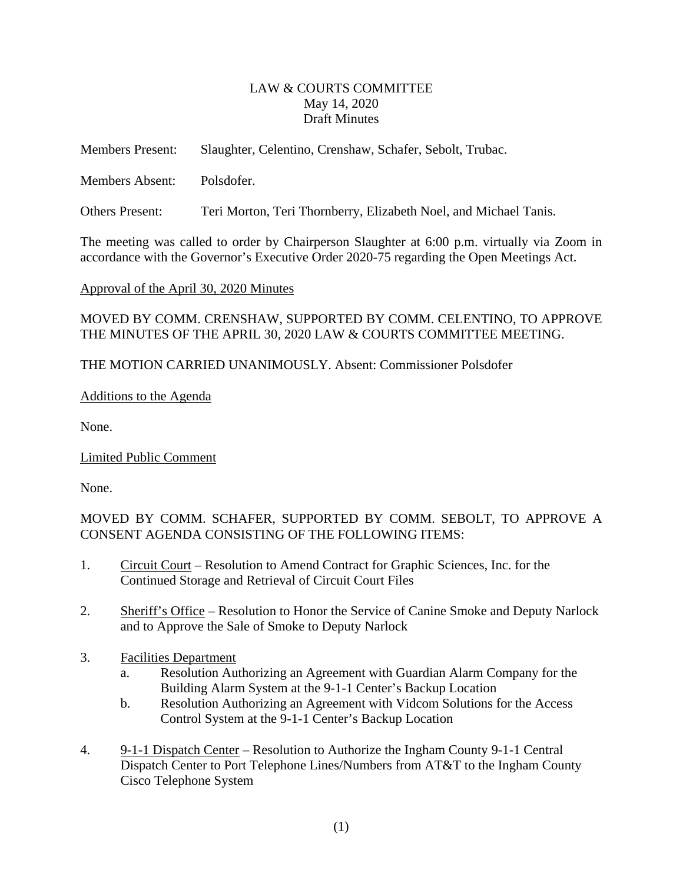### LAW & COURTS COMMITTEE May 14, 2020 Draft Minutes

<span id="page-1-0"></span>

| <b>Members Present:</b> | Slaughter, Celentino, Crenshaw, Schafer, Sebolt, Trubac. |
|-------------------------|----------------------------------------------------------|
| Members Absent:         | Polsdofer.                                               |

Others Present: Teri Morton, Teri Thornberry, Elizabeth Noel, and Michael Tanis.

The meeting was called to order by Chairperson Slaughter at 6:00 p.m. virtually via Zoom in accordance with the Governor's Executive Order 2020-75 regarding the Open Meetings Act.

Approval of the April 30, 2020 Minutes

MOVED BY COMM. CRENSHAW, SUPPORTED BY COMM. CELENTINO, TO APPROVE THE MINUTES OF THE APRIL 30, 2020 LAW & COURTS COMMITTEE MEETING.

THE MOTION CARRIED UNANIMOUSLY. Absent: Commissioner Polsdofer

### Additions to the Agenda

None.

Limited Public Comment

None.

MOVED BY COMM. SCHAFER, SUPPORTED BY COMM. SEBOLT, TO APPROVE A CONSENT AGENDA CONSISTING OF THE FOLLOWING ITEMS:

- 1. Circuit Court Resolution to Amend Contract for Graphic Sciences, Inc. for the Continued Storage and Retrieval of Circuit Court Files
- 2. Sheriff's Office Resolution to Honor the Service of Canine Smoke and Deputy Narlock and to Approve the Sale of Smoke to Deputy Narlock
- 3. Facilities Department
	- a. Resolution Authorizing an Agreement with Guardian Alarm Company for the Building Alarm System at the 9-1-1 Center's Backup Location
	- b. Resolution Authorizing an Agreement with Vidcom Solutions for the Access Control System at the 9-1-1 Center's Backup Location
- 4. 9-1-1 Dispatch Center Resolution to Authorize the Ingham County 9-1-1 Central Dispatch Center to Port Telephone Lines/Numbers from AT&T to the Ingham County Cisco Telephone System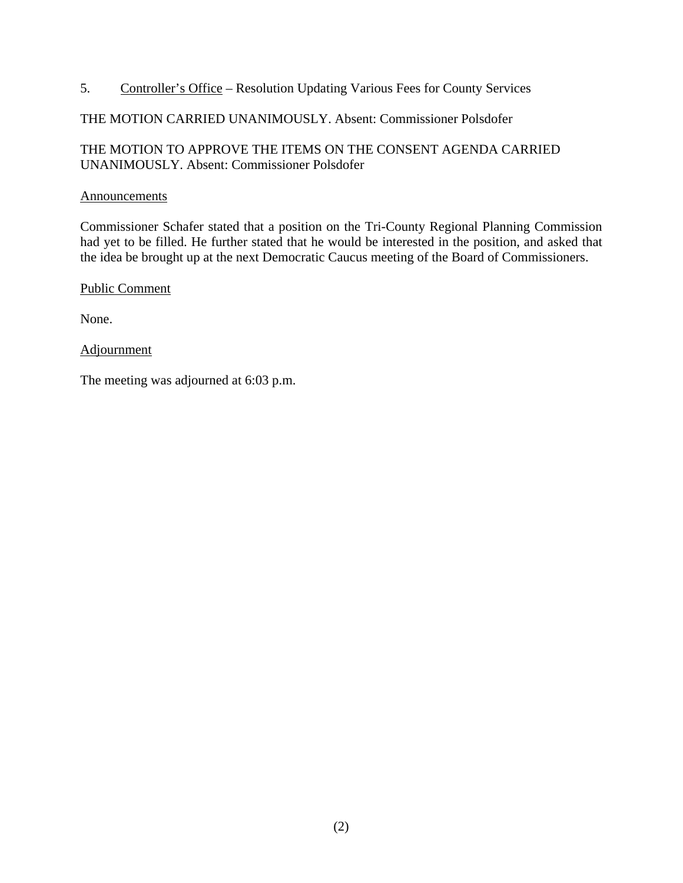5. Controller's Office – Resolution Updating Various Fees for County Services

# THE MOTION CARRIED UNANIMOUSLY. Absent: Commissioner Polsdofer

# THE MOTION TO APPROVE THE ITEMS ON THE CONSENT AGENDA CARRIED UNANIMOUSLY. Absent: Commissioner Polsdofer

### Announcements

Commissioner Schafer stated that a position on the Tri-County Regional Planning Commission had yet to be filled. He further stated that he would be interested in the position, and asked that the idea be brought up at the next Democratic Caucus meeting of the Board of Commissioners.

Public Comment

None.

### **Adjournment**

The meeting was adjourned at 6:03 p.m.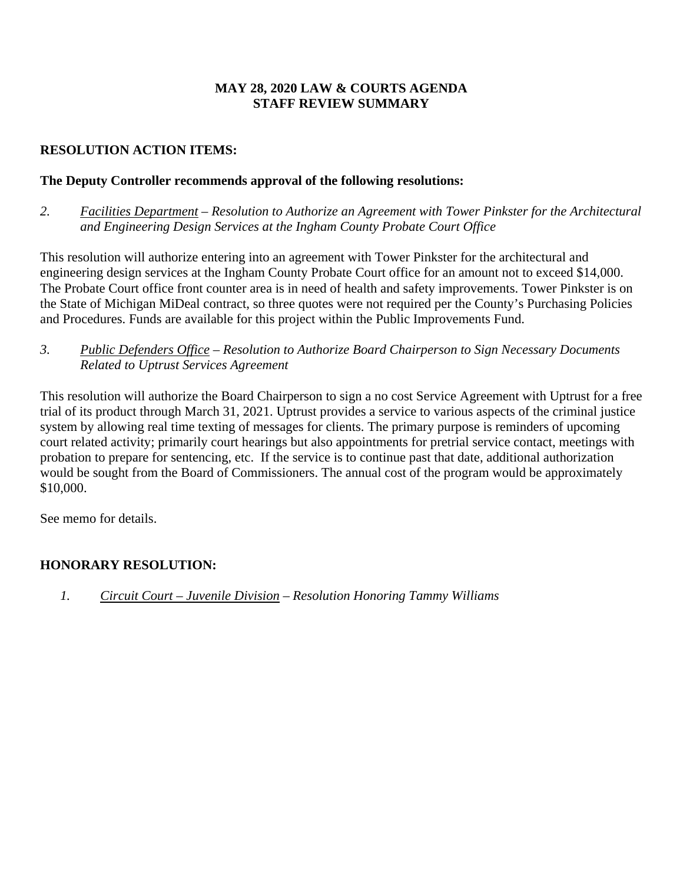# **MAY 28, 2020 LAW & COURTS AGENDA STAFF REVIEW SUMMARY**

# **RESOLUTION ACTION ITEMS:**

# **The Deputy Controller recommends approval of the following resolutions:**

*2. Facilities Department – Resolution to Authorize an Agreement with Tower Pinkster for the Architectural and Engineering Design Services at the Ingham County Probate Court Office* 

This resolution will authorize entering into an agreement with Tower Pinkster for the architectural and engineering design services at the Ingham County Probate Court office for an amount not to exceed \$14,000. The Probate Court office front counter area is in need of health and safety improvements. Tower Pinkster is on the State of Michigan MiDeal contract, so three quotes were not required per the County's Purchasing Policies and Procedures. Funds are available for this project within the Public Improvements Fund.

*3. Public Defenders Office – Resolution to Authorize Board Chairperson to Sign Necessary Documents Related to Uptrust Services Agreement*

This resolution will authorize the Board Chairperson to sign a no cost Service Agreement with Uptrust for a free trial of its product through March 31, 2021. Uptrust provides a service to various aspects of the criminal justice system by allowing real time texting of messages for clients. The primary purpose is reminders of upcoming court related activity; primarily court hearings but also appointments for pretrial service contact, meetings with probation to prepare for sentencing, etc. If the service is to continue past that date, additional authorization would be sought from the Board of Commissioners. The annual cost of the program would be approximately \$10,000.

See memo for details.

# **HONORARY RESOLUTION:**

*1. Circuit Court – Juvenile Division – Resolution Honoring Tammy Williams*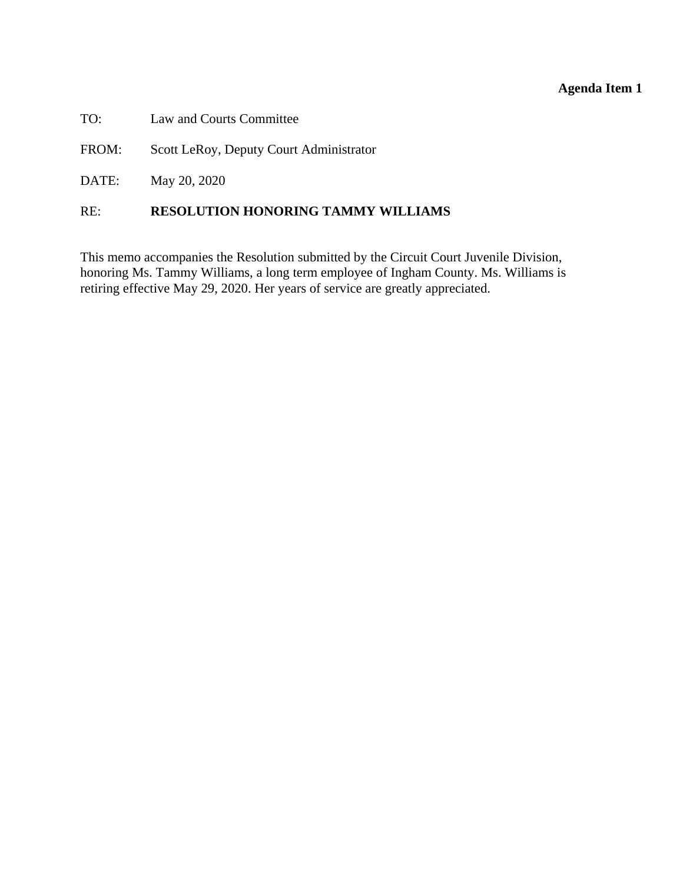<span id="page-4-0"></span>

| TO: |  |  |  | Law and Courts Committee |
|-----|--|--|--|--------------------------|
|-----|--|--|--|--------------------------|

FROM: Scott LeRoy, Deputy Court Administrator

DATE: May 20, 2020

### RE: **RESOLUTION HONORING TAMMY WILLIAMS**

This memo accompanies the Resolution submitted by the Circuit Court Juvenile Division, honoring Ms. Tammy Williams, a long term employee of Ingham County. Ms. Williams is retiring effective May 29, 2020. Her years of service are greatly appreciated.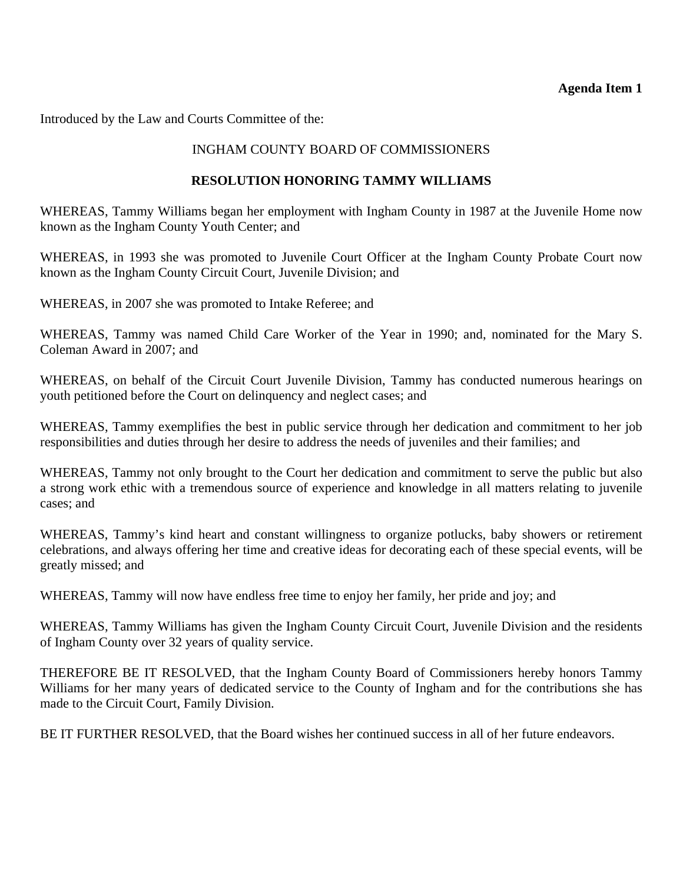Introduced by the Law and Courts Committee of the:

### INGHAM COUNTY BOARD OF COMMISSIONERS

#### **RESOLUTION HONORING TAMMY WILLIAMS**

WHEREAS, Tammy Williams began her employment with Ingham County in 1987 at the Juvenile Home now known as the Ingham County Youth Center; and

WHEREAS, in 1993 she was promoted to Juvenile Court Officer at the Ingham County Probate Court now known as the Ingham County Circuit Court, Juvenile Division; and

WHEREAS, in 2007 she was promoted to Intake Referee; and

WHEREAS, Tammy was named Child Care Worker of the Year in 1990; and, nominated for the Mary S. Coleman Award in 2007; and

WHEREAS, on behalf of the Circuit Court Juvenile Division, Tammy has conducted numerous hearings on youth petitioned before the Court on delinquency and neglect cases; and

WHEREAS, Tammy exemplifies the best in public service through her dedication and commitment to her job responsibilities and duties through her desire to address the needs of juveniles and their families; and

WHEREAS, Tammy not only brought to the Court her dedication and commitment to serve the public but also a strong work ethic with a tremendous source of experience and knowledge in all matters relating to juvenile cases; and

WHEREAS, Tammy's kind heart and constant willingness to organize potlucks, baby showers or retirement celebrations, and always offering her time and creative ideas for decorating each of these special events, will be greatly missed; and

WHEREAS, Tammy will now have endless free time to enjoy her family, her pride and joy; and

WHEREAS, Tammy Williams has given the Ingham County Circuit Court, Juvenile Division and the residents of Ingham County over 32 years of quality service.

THEREFORE BE IT RESOLVED, that the Ingham County Board of Commissioners hereby honors Tammy Williams for her many years of dedicated service to the County of Ingham and for the contributions she has made to the Circuit Court, Family Division.

BE IT FURTHER RESOLVED, that the Board wishes her continued success in all of her future endeavors.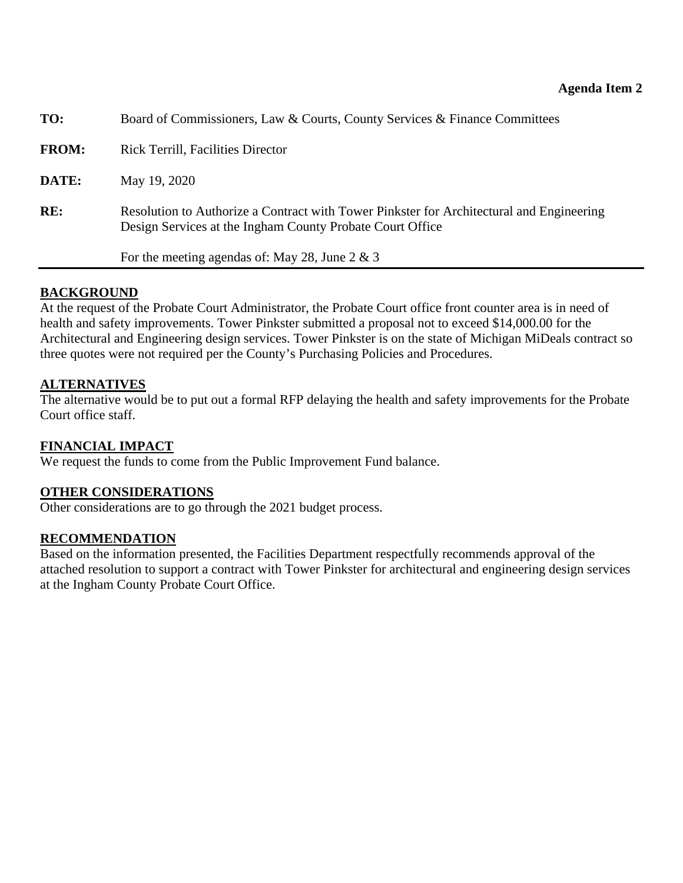<span id="page-6-0"></span>

| TO:          | Board of Commissioners, Law & Courts, County Services & Finance Committees                                                                            |  |
|--------------|-------------------------------------------------------------------------------------------------------------------------------------------------------|--|
| <b>FROM:</b> | <b>Rick Terrill, Facilities Director</b>                                                                                                              |  |
| DATE:        | May 19, 2020                                                                                                                                          |  |
| RE:          | Resolution to Authorize a Contract with Tower Pinkster for Architectural and Engineering<br>Design Services at the Ingham County Probate Court Office |  |
|              | For the meeting agendas of: May 28, June 2 & 3                                                                                                        |  |
|              |                                                                                                                                                       |  |

# **BACKGROUND**

At the request of the Probate Court Administrator, the Probate Court office front counter area is in need of health and safety improvements. Tower Pinkster submitted a proposal not to exceed \$14,000.00 for the Architectural and Engineering design services. Tower Pinkster is on the state of Michigan MiDeals contract so three quotes were not required per the County's Purchasing Policies and Procedures.

# **ALTERNATIVES**

The alternative would be to put out a formal RFP delaying the health and safety improvements for the Probate Court office staff.

# **FINANCIAL IMPACT**

We request the funds to come from the Public Improvement Fund balance.

# **OTHER CONSIDERATIONS**

Other considerations are to go through the 2021 budget process.

# **RECOMMENDATION**

Based on the information presented, the Facilities Department respectfully recommends approval of the attached resolution to support a contract with Tower Pinkster for architectural and engineering design services at the Ingham County Probate Court Office.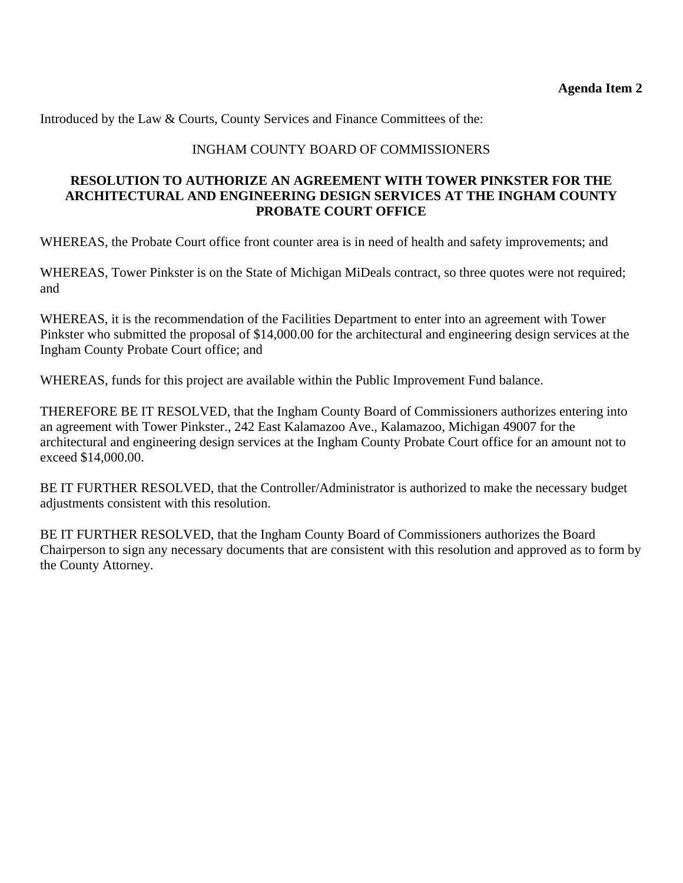Introduced by the Law & Courts, County Services and Finance Committees of the:

# INGHAM COUNTY BOARD OF COMMISSIONERS

### **RESOLUTION TO AUTHORIZE AN AGREEMENT WITH TOWER PINKSTER FOR THE ARCHITECTURAL AND ENGINEERING DESIGN SERVICES AT THE INGHAM COUNTY PROBATE COURT OFFICE**

WHEREAS, the Probate Court office front counter area is in need of health and safety improvements; and

WHEREAS, Tower Pinkster is on the State of Michigan MiDeals contract, so three quotes were not required; and

WHEREAS, it is the recommendation of the Facilities Department to enter into an agreement with Tower Pinkster who submitted the proposal of \$14,000.00 for the architectural and engineering design services at the Ingham County Probate Court office; and

WHEREAS, funds for this project are available within the Public Improvement Fund balance.

THEREFORE BE IT RESOLVED, that the Ingham County Board of Commissioners authorizes entering into an agreement with Tower Pinkster., 242 East Kalamazoo Ave., Kalamazoo, Michigan 49007 for the architectural and engineering design services at the Ingham County Probate Court office for an amount not to exceed \$14,000.00.

BE IT FURTHER RESOLVED, that the Controller/Administrator is authorized to make the necessary budget adjustments consistent with this resolution.

BE IT FURTHER RESOLVED, that the Ingham County Board of Commissioners authorizes the Board Chairperson to sign any necessary documents that are consistent with this resolution and approved as to form by the County Attorney.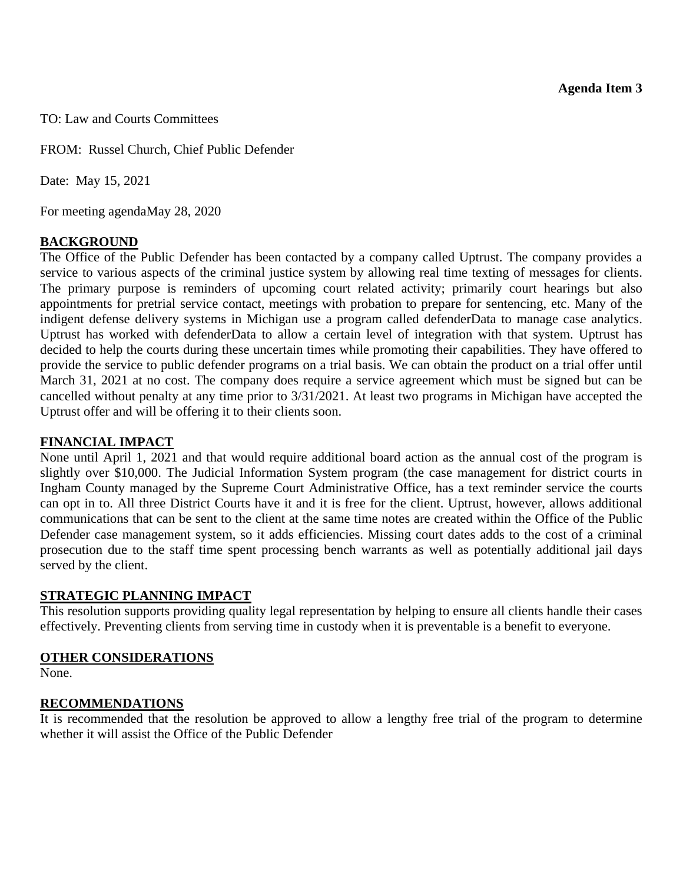<span id="page-8-0"></span>TO: Law and Courts Committees

FROM: Russel Church, Chief Public Defender

Date: May 15, 2021

For meeting agendaMay 28, 2020

### **BACKGROUND**

The Office of the Public Defender has been contacted by a company called Uptrust. The company provides a service to various aspects of the criminal justice system by allowing real time texting of messages for clients. The primary purpose is reminders of upcoming court related activity; primarily court hearings but also appointments for pretrial service contact, meetings with probation to prepare for sentencing, etc. Many of the indigent defense delivery systems in Michigan use a program called defenderData to manage case analytics. Uptrust has worked with defenderData to allow a certain level of integration with that system. Uptrust has decided to help the courts during these uncertain times while promoting their capabilities. They have offered to provide the service to public defender programs on a trial basis. We can obtain the product on a trial offer until March 31, 2021 at no cost. The company does require a service agreement which must be signed but can be cancelled without penalty at any time prior to 3/31/2021. At least two programs in Michigan have accepted the Uptrust offer and will be offering it to their clients soon.

### **FINANCIAL IMPACT**

None until April 1, 2021 and that would require additional board action as the annual cost of the program is slightly over \$10,000. The Judicial Information System program (the case management for district courts in Ingham County managed by the Supreme Court Administrative Office, has a text reminder service the courts can opt in to. All three District Courts have it and it is free for the client. Uptrust, however, allows additional communications that can be sent to the client at the same time notes are created within the Office of the Public Defender case management system, so it adds efficiencies. Missing court dates adds to the cost of a criminal prosecution due to the staff time spent processing bench warrants as well as potentially additional jail days served by the client.

#### **STRATEGIC PLANNING IMPACT**

This resolution supports providing quality legal representation by helping to ensure all clients handle their cases effectively. Preventing clients from serving time in custody when it is preventable is a benefit to everyone.

#### **OTHER CONSIDERATIONS**

None.

#### **RECOMMENDATIONS**

It is recommended that the resolution be approved to allow a lengthy free trial of the program to determine whether it will assist the Office of the Public Defender